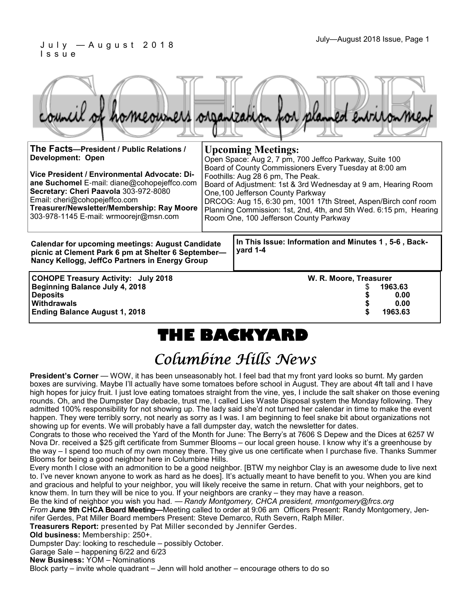|                                                                                                                                      | homeowners organization for planned entrironment                                                                                                                                                   |
|--------------------------------------------------------------------------------------------------------------------------------------|----------------------------------------------------------------------------------------------------------------------------------------------------------------------------------------------------|
| The Facts-President / Public Relations /<br><b>Development: Open</b>                                                                 | <b>Upcoming Meetings:</b><br>Open Space: Aug 2, 7 pm, 700 Jeffco Parkway, Suite 100                                                                                                                |
| Vice President / Environmental Advocate: Di-<br>ane Suchomel E-mail: diane@cohopejeffco.com<br>Secretary: Cheri Paavola 303-972-8080 | Board of County Commissioners Every Tuesday at 8:00 am<br>Foothills: Aug 28 6 pm, The Peak.<br>Board of Adjustment: 1st & 3rd Wednesday at 9 am, Hearing Room<br>One, 100 Jefferson County Parkway |
| Email: cheri@cohopejeffco.com                                                                                                        | DRCOG: Aug 15, 6:30 pm, 1001 17th Street, Aspen/Birch conf room                                                                                                                                    |

**Treasurer/Newsletter/Membership: Ray Moore**  303-978-1145 E-mail: wrmoorejr@msn.com Planning Commission: 1st, 2nd, 4th, and 5th Wed. 6:15 pm, Hearing Room One, 100 Jefferson County Parkway

**Calendar for upcoming meetings: August Candidate picnic at Clement Park 6 pm at Shelter 6 September— Nancy Kellogg, JeffCo Partners in Energy Group** 

**COHOPE Treasury Activity: July 2018 W. R. Moore, Treasurer Beginning Balance July 4, 2018** \$ **1963.63 Deposits \$ 0.00 Withdrawals \$ 0.00 Ending Balance August 1, 2018 \$ 1963.63**

**In This Issue: Information and Minutes 1 , 5-6 , Backyard 1-4** 

## **THE BACKYARD**

## Columbine Hills News

**President's Corner** — WOW, it has been unseasonably hot. I feel bad that my front yard looks so burnt. My garden boxes are surviving. Maybe I'll actually have some tomatoes before school in August. They are about 4ft tall and I have high hopes for juicy fruit. I just love eating tomatoes straight from the vine, yes, I include the salt shaker on those evening rounds. Oh, and the Dumpster Day debacle, trust me, I called Lies Waste Disposal system the Monday following. They admitted 100% responsibility for not showing up. The lady said she'd not turned her calendar in time to make the event happen. They were terribly sorry, not nearly as sorry as I was. I am beginning to feel snake bit about organizations not showing up for events. We will probably have a fall dumpster day, watch the newsletter for dates.

Congrats to those who received the Yard of the Month for June: The Berry's at 7606 S Depew and the Dices at 6257 W Nova Dr. received a \$25 gift certificate from Summer Blooms – our local green house. I know why it's a greenhouse by the way – I spend too much of my own money there. They give us one certificate when I purchase five. Thanks Summer Blooms for being a good neighbor here in Columbine Hills.

Every month I close with an admonition to be a good neighbor. [BTW my neighbor Clay is an awesome dude to live next to. I've never known anyone to work as hard as he does]. It's actually meant to have benefit to you. When you are kind and gracious and helpful to your neighbor, you will likely receive the same in return. Chat with your neighbors, get to know them. In turn they will be nice to you. If your neighbors are cranky – they may have a reason.

Be the kind of neighbor you wish you had. — *Randy Montgomery, CHCA president, rmontgomery@frcs.org From* **June 9th CHCA Board Meeting—**Meeting called to order at 9:06 am Officers Present: Randy Montgomery, Jen-

nifer Gerdes, Pat Miller Board members Present: Steve Demarco, Ruth Severn, Ralph Miller.

**Treasurers Report:** presented by Pat Miller seconded by Jennifer Gerdes.

**Old business:** Membership: 250+.

Dumpster Day: looking to reschedule – possibly October.

Garage Sale – happening 6/22 and 6/23

**New Business:** YOM – Nominations

Block party – invite whole quadrant – Jenn will hold another – encourage others to do so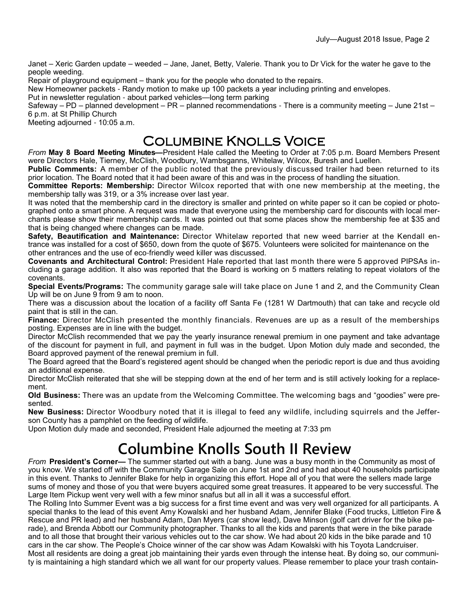Janet – Xeric Garden update – weeded – Jane, Janet, Betty, Valerie. Thank you to Dr Vick for the water he gave to the people weeding.

Repair of playground equipment – thank you for the people who donated to the repairs.

New Homeowner packets - Randy motion to make up 100 packets a year including printing and envelopes.

Put in newsletter regulation - about parked vehicles—long term parking

Safeway – PD – planned development – PR – planned recommendations - There is a community meeting – June 21st – 6 p.m. at St Phillip Church

Meeting adjourned - 10:05 a.m.

#### Columbine Knolls Voice

*From* **May 8 Board Meeting Minutes—**President Hale called the Meeting to Order at 7:05 p.m. Board Members Present were Directors Hale, Tierney, McClish, Woodbury, Wambsganns, Whitelaw, Wilcox, Buresh and Luellen.

**Public Comments:** A member of the public noted that the previously discussed trailer had been returned to its prior location. The Board noted that it had been aware of this and was in the process of handling the situation.

**Committee Reports: Membership:** Director Wilcox reported that with one new membership at the meeting, the membership tally was 319, or a 3% increase over last year.

It was noted that the membership card in the directory is smaller and printed on white paper so it can be copied or photographed onto a smart phone. A request was made that everyone using the membership card for discounts with local merchants please show their membership cards. It was pointed out that some places show the membership fee at \$35 and that is being changed where changes can be made.

**Safety, Beautification and Maintenance:** Director Whitelaw reported that new weed barrier at the Kendall entrance was installed for a cost of \$650, down from the quote of \$675. Volunteers were solicited for maintenance on the other entrances and the use of eco-friendly weed killer was discussed.

**Covenants and Architectural Control:** President Hale reported that last month there were 5 approved PIPSAs including a garage addition. It also was reported that the Board is working on 5 matters relating to repeat violators of the covenants.

**Special Events/Programs:** The community garage sale will take place on June 1 and 2, and the Community Clean Up will be on June 9 from 9 am to noon.

There was a discussion about the location of a facility off Santa Fe (1281 W Dartmouth) that can take and recycle old paint that is still in the can.

**Finance:** Director McClish presented the monthly financials. Revenues are up as a result of the memberships posting. Expenses are in line with the budget.

Director McClish recommended that we pay the yearly insurance renewal premium in one payment and take advantage of the discount for payment in full, and payment in full was in the budget. Upon Motion duly made and seconded, the Board approved payment of the renewal premium in full.

The Board agreed that the Board's registered agent should be changed when the periodic report is due and thus avoiding an additional expense.

Director McClish reiterated that she will be stepping down at the end of her term and is still actively looking for a replacement.

**Old Business:** There was an update from the Welcoming Committee. The welcoming bags and "goodies" were presented.

**New Business:** Director Woodbury noted that it is illegal to feed any wildlife, including squirrels and the Jefferson County has a pamphlet on the feeding of wildlife.

Upon Motion duly made and seconded, President Hale adjourned the meeting at 7:33 pm

## **Columbine Knolls South II Review**

*From* **President's Corner—** The summer started out with a bang. June was a busy month in the Community as most of you know. We started off with the Community Garage Sale on June 1st and 2nd and had about 40 households participate in this event. Thanks to Jennifer Blake for help in organizing this effort. Hope all of you that were the sellers made large sums of money and those of you that were buyers acquired some great treasures. It appeared to be very successful. The Large Item Pickup went very well with a few minor snafus but all in all it was a successful effort.

The Rolling Into Summer Event was a big success for a first time event and was very well organized for all participants. A special thanks to the lead of this event Amy Kowalski and her husband Adam, Jennifer Blake (Food trucks, Littleton Fire & Rescue and PR lead) and her husband Adam, Dan Myers (car show lead), Dave Minson (golf cart driver for the bike parade), and Brenda Abbott our Community photographer. Thanks to all the kids and parents that were in the bike parade and to all those that brought their various vehicles out to the car show. We had about 20 kids in the bike parade and 10 cars in the car show. The People's Choice winner of the car show was Adam Kowalski with his Toyota Landcruiser. Most all residents are doing a great job maintaining their yards even through the intense heat. By doing so, our community is maintaining a high standard which we all want for our property values. Please remember to place your trash contain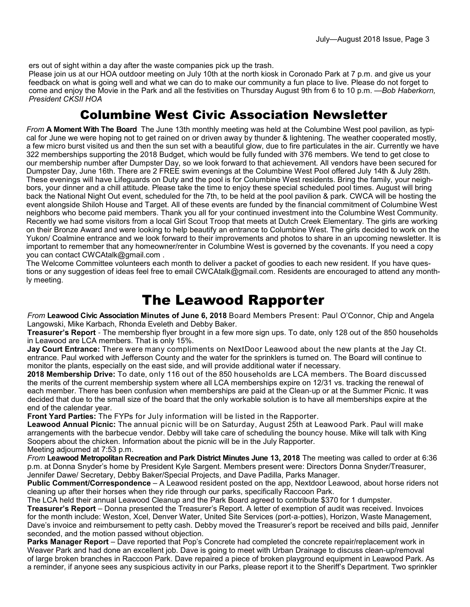ers out of sight within a day after the waste companies pick up the trash.

Please join us at our HOA outdoor meeting on July 10th at the north kiosk in Coronado Park at 7 p.m. and give us your feedback on what is going well and what we can do to make our community a fun place to live. Please do not forget to come and enjoy the Movie in the Park and all the festivities on Thursday August 9th from 6 to 10 p.m. —*Bob Haberkorn, President CKSII HOA*

#### Columbine West Civic Association Newsletter

*From* **A Moment With The Board** The June 13th monthly meeting was held at the Columbine West pool pavilion, as typical for June we were hoping not to get rained on or driven away by thunder & lightening. The weather cooperated mostly, a few micro burst visited us and then the sun set with a beautiful glow, due to fire particulates in the air. Currently we have 322 memberships supporting the 2018 Budget, which would be fully funded with 376 members. We tend to get close to our membership number after Dumpster Day, so we look forward to that achievement. All vendors have been secured for Dumpster Day, June 16th. There are 2 FREE swim evenings at the Columbine West Pool offered July 14th & July 28th. These evenings will have Lifeguards on Duty and the pool is for Columbine West residents. Bring the family, your neighbors, your dinner and a chill attitude. Please take the time to enjoy these special scheduled pool times. August will bring back the National Night Out event, scheduled for the 7th, to be held at the pool pavilion & park. CWCA will be hosting the event alongside Shiloh House and Target. All of these events are funded by the financial commitment of Columbine West neighbors who become paid members. Thank you all for your continued investment into the Columbine West Community. Recently we had some visitors from a local Girl Scout Troop that meets at Dutch Creek Elementary. The girls are working on their Bronze Award and were looking to help beautify an entrance to Columbine West. The girls decided to work on the Yukon/ Coalmine entrance and we look forward to their improvements and photos to share in an upcoming newsletter. It is important to remember that any homeowner/renter in Columbine West is governed by the covenants. If you need a copy you can contact CWCAtalk@gmail.com .

The Welcome Committee volunteers each month to deliver a packet of goodies to each new resident. If you have questions or any suggestion of ideas feel free to email CWCAtalk@gmail.com. Residents are encouraged to attend any monthly meeting.

### The Leawood Rapporter

*From* **Leawood Civic Association Minutes of June 6, 2018** Board Members Present: Paul O'Connor, Chip and Angela Langowski, Mike Karbach, Rhonda Eveleth and Debby Baker.

**Treasurer's Report** - The membership flyer brought in a few more sign ups. To date, only 128 out of the 850 households in Leawood are LCA members. That is only 15%.

**Jay Court Entrance:** There were many compliments on NextDoor Leawood about the new plants at the Jay Ct. entrance. Paul worked with Jefferson County and the water for the sprinklers is turned on. The Board will continue to monitor the plants, especially on the east side, and will provide additional water if necessary.

**2018 Membership Drive:** To date, only 116 out of the 850 households are LCA members. The Board discussed the merits of the current membership system where all LCA memberships expire on 12/31 vs. tracking the renewal of each member. There has been confusion when memberships are paid at the Clean-up or at the Summer Picnic. It was decided that due to the small size of the board that the only workable solution is to have all memberships expire at the end of the calendar year.

**Front Yard Parties:** The FYPs for July information will be listed in the Rapporter.

**Leawood Annual Picnic:** The annual picnic will be on Saturday, August 25th at Leawood Park. Paul will make arrangements with the barbecue vendor. Debby will take care of scheduling the bouncy house. Mike will talk with King Soopers about the chicken. Information about the picnic will be in the July Rapporter. Meeting adjourned at 7:53 p.m.

*From* **Leawood Metropolitan Recreation and Park District Minutes June 13, 2018** The meeting was called to order at 6:36 p.m. at Donna Snyder's home by President Kyle Sargent. Members present were: Directors Donna Snyder/Treasurer, Jennifer Dawe/ Secretary, Debby Baker/Special Projects, and Dave Padilla, Parks Manager.

**Public Comment/Correspondence** – A Leawood resident posted on the app, Nextdoor Leawood, about horse riders not cleaning up after their horses when they ride through our parks, specifically Raccoon Park.

The LCA held their annual Leawood Cleanup and the Park Board agreed to contribute \$370 for 1 dumpster.

**Treasurer's Report** – Donna presented the Treasurer's Report. A letter of exemption of audit was received. Invoices for the month include: Weston, Xcel, Denver Water, United Site Services (port-a-potties), Horizon, Waste Management, Dave's invoice and reimbursement to petty cash. Debby moved the Treasurer's report be received and bills paid, Jennifer seconded, and the motion passed without objection.

**Parks Manager Report** – Dave reported that Pop's Concrete had completed the concrete repair/replacement work in Weaver Park and had done an excellent job. Dave is going to meet with Urban Drainage to discuss clean-up/removal of large broken branches in Raccoon Park. Dave repaired a piece of broken playground equipment in Leawood Park. As a reminder, if anyone sees any suspicious activity in our Parks, please report it to the Sheriff's Department. Two sprinkler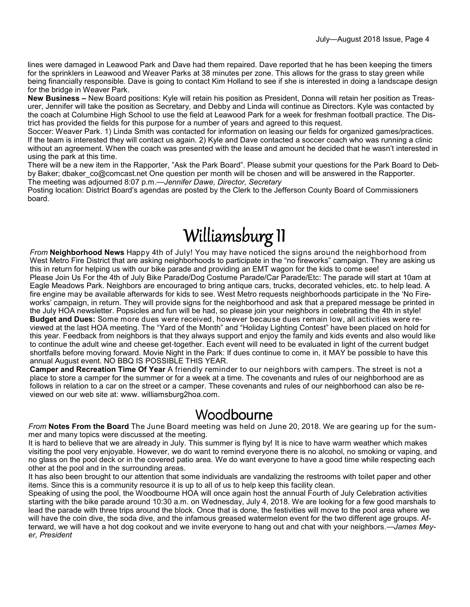lines were damaged in Leawood Park and Dave had them repaired. Dave reported that he has been keeping the timers for the sprinklers in Leawood and Weaver Parks at 38 minutes per zone. This allows for the grass to stay green while being financially responsible. Dave is going to contact Kim Holland to see if she is interested in doing a landscape design for the bridge in Weaver Park.

**New Business –** New Board positions: Kyle will retain his position as President, Donna will retain her position as Treasurer, Jennifer will take the position as Secretary, and Debby and Linda will continue as Directors. Kyle was contacted by the coach at Columbine High School to use the field at Leawood Park for a week for freshman football practice. The District has provided the fields for this purpose for a number of years and agreed to this request.

Soccer: Weaver Park. 1) Linda Smith was contacted for information on leasing our fields for organized games/practices. If the team is interested they will contact us again. 2) Kyle and Dave contacted a soccer coach who was running a clinic without an agreement. When the coach was presented with the lease and amount he decided that he wasn't interested in using the park at this time.

There will be a new item in the Rapporter, "Ask the Park Board". Please submit your questions for the Park Board to Debby Baker; dbaker\_co@comcast.net One question per month will be chosen and will be answered in the Rapporter. The meeting was adjourned 8:07 p.m.—*Jennifer Dawe, Director, Secretary*

Posting location: District Board's agendas are posted by the Clerk to the Jefferson County Board of Commissioners board.

# Williamsburg II

*From* **Neighborhood News** Happy 4th of July! You may have noticed the signs around the neighborhood from West Metro Fire District that are asking neighborhoods to participate in the "no fireworks" campaign. They are asking us this in return for helping us with our bike parade and providing an EMT wagon for the kids to come see! Please Join Us For the 4th of July Bike Parade/Dog Costume Parade/Car Parade/Etc: The parade will start at 10am at Eagle Meadows Park. Neighbors are encouraged to bring antique cars, trucks, decorated vehicles, etc. to help lead. A fire engine may be available afterwards for kids to see. West Metro requests neighborhoods participate in the 'No Fireworks' campaign, in return. They will provide signs for the neighborhood and ask that a prepared message be printed in the July HOA newsletter. Popsicles and fun will be had, so please join your neighbors in celebrating the 4th in style! **Budget and Dues:** Some more dues were received, however because dues remain low, all activities were reviewed at the last HOA meeting. The "Yard of the Month" and "Holiday Lighting Contest" have been placed on hold for this year. Feedback from neighbors is that they always support and enjoy the family and kids events and also would like to continue the adult wine and cheese get-together. Each event will need to be evaluated in light of the current budget shortfalls before moving forward. Movie Night in the Park: If dues continue to come in, it MAY be possible to have this annual August event. NO BBQ IS POSSIBLE THIS YEAR.

**Camper and Recreation Time Of Year** A friendly reminder to our neighbors with campers. The street is not a place to store a camper for the summer or for a week at a time. The covenants and rules of our neighborhood are as follows in relation to a car on the street or a camper. These covenants and rules of our neighborhood can also be reviewed on our web site at: www. williamsburg2hoa.com.

#### Woodbourne

*From* **Notes From the Board** The June Board meeting was held on June 20, 2018. We are gearing up for the summer and many topics were discussed at the meeting.

It is hard to believe that we are already in July. This summer is flying by! It is nice to have warm weather which makes visiting the pool very enjoyable. However, we do want to remind everyone there is no alcohol, no smoking or vaping, and no glass on the pool deck or in the covered patio area. We do want everyone to have a good time while respecting each other at the pool and in the surrounding areas.

It has also been brought to our attention that some individuals are vandalizing the restrooms with toilet paper and other items. Since this is a community resource it is up to all of us to help keep this facility clean.

Speaking of using the pool, the Woodbourne HOA will once again host the annual Fourth of July Celebration activities starting with the bike parade around 10:30 a.m. on Wednesday, July 4, 2018. We are looking for a few good marshals to lead the parade with three trips around the block. Once that is done, the festivities will move to the pool area where we will have the coin dive, the soda dive, and the infamous greased watermelon event for the two different age groups. Afterward, we will have a hot dog cookout and we invite everyone to hang out and chat with your neighbors.—*James Meyer, President*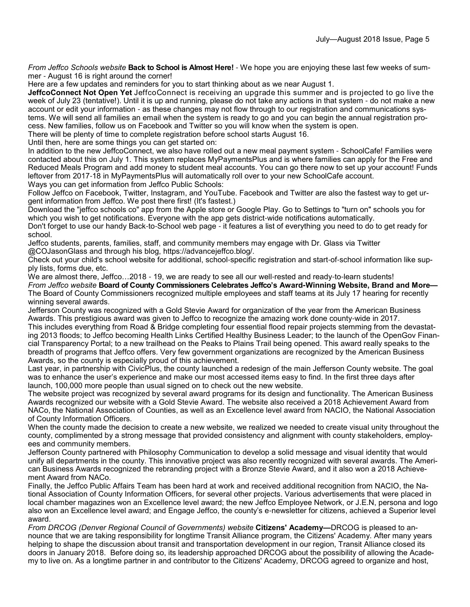*From Jeffco Schools website* **Back to School is Almost Here!** - We hope you are enjoying these last few weeks of summer - August 16 is right around the corner!

Here are a few updates and reminders for you to start thinking about as we near August 1.

**JeffcoConnect Not Open Yet** JeffcoConnect is receiving an upgrade this summer and is projected to go live the week of July 23 (tentative!). Until it is up and running, please do not take any actions in that system - do not make a new account or edit your information - as these changes may not flow through to our registration and communications systems. We will send all families an email when the system is ready to go and you can begin the annual registration process. New families, follow us on Facebook and Twitter so you will know when the system is open.

There will be plenty of time to complete registration before school starts August 16.

Until then, here are some things you can get started on:

In addition to the new JeffcoConnect, we also have rolled out a new meal payment system - SchoolCafe! Families were contacted about this on July 1. This system replaces MyPaymentsPlus and is where families can apply for the Free and Reduced Meals Program and add money to student meal accounts. You can go there now to set up your account! Funds leftover from 2017-18 in MyPaymentsPlus will automatically roll over to your new SchoolCafe account. Ways you can get information from Jeffco Public Schools:

Follow Jeffco on Facebook, Twitter, Instagram, and YouTube. Facebook and Twitter are also the fastest way to get urgent information from Jeffco. We post there first! (It's fastest.)

Download the "jeffco schools co" app from the Apple store or Google Play. Go to Settings to "turn on" schools you for which you wish to get notifications. Everyone with the app gets district-wide notifications automatically.

Don't forget to use our handy Back-to-School web page - it features a list of everything you need to do to get ready for school.

Jeffco students, parents, families, staff, and community members may engage with Dr. Glass via Twitter @COJasonGlass and through his blog, https://advancejeffco.blog/.

Check out your child's school website for additional, school-specific registration and start-of-school information like supply lists, forms due, etc.

We are almost there, Jeffco...2018 - 19, we are ready to see all our well-rested and ready-to-learn students! *From Jeffco website* **Board of County Commissioners Celebrates Jeffco's Award-Winning Website, Brand and More—** The Board of County Commissioners recognized multiple employees and staff teams at its July 17 hearing for recently winning several awards.

Jefferson County was recognized with a Gold Stevie Award for organization of the year from the American Business Awards. This prestigious award was given to Jeffco to recognize the amazing work done county-wide in 2017. This includes everything from Road & Bridge completing four essential flood repair projects stemming from the devastating 2013 floods; to Jeffco becoming Health Links Certified Healthy Business Leader; to the launch of the OpenGov Financial Transparency Portal; to a new trailhead on the Peaks to Plains Trail being opened. This award really speaks to the breadth of programs that Jeffco offers. Very few government organizations are recognized by the American Business Awards, so the county is especially proud of this achievement.

Last year, in partnership with CivicPlus, the county launched a redesign of the main Jefferson County website. The goal was to enhance the user's experience and make our most accessed items easy to find. In the first three days after launch, 100,000 more people than usual signed on to check out the new website.

The website project was recognized by several award programs for its design and functionality. The American Business Awards recognized our website with a Gold Stevie Award. The website also received a 2018 Achievement Award from NACo, the National Association of Counties, as well as an Excellence level award from NACIO, the National Association of County Information Officers.

When the county made the decision to create a new website, we realized we needed to create visual unity throughout the county, complimented by a strong message that provided consistency and alignment with county stakeholders, employees and community members.

Jefferson County partnered with Philosophy Communication to develop a solid message and visual identity that would unify all departments in the county. This innovative project was also recently recognized with several awards. The American Business Awards recognized the rebranding project with a Bronze Stevie Award, and it also won a 2018 Achievement Award from NACo.

Finally, the Jeffco Public Affairs Team has been hard at work and received additional recognition from NACIO, the National Association of County Information Officers, for several other projects. Various advertisements that were placed in local chamber magazines won an Excellence level award; the new Jeffco Employee Network, or J.E.N, persona and logo also won an Excellence level award; and Engage Jeffco, the county's e-newsletter for citizens, achieved a Superior level award.

*From DRCOG (Denver Regional Council of Governments) website* **Citizens' Academy—**DRCOG is pleased to announce that we are taking responsibility for longtime Transit Alliance program, the Citizens' Academy. After many years helping to shape the discussion about transit and transportation development in our region, Transit Alliance closed its doors in January 2018. Before doing so, its leadership approached DRCOG about the possibility of allowing the Academy to live on. As a longtime partner in and contributor to the Citizens' Academy, DRCOG agreed to organize and host,